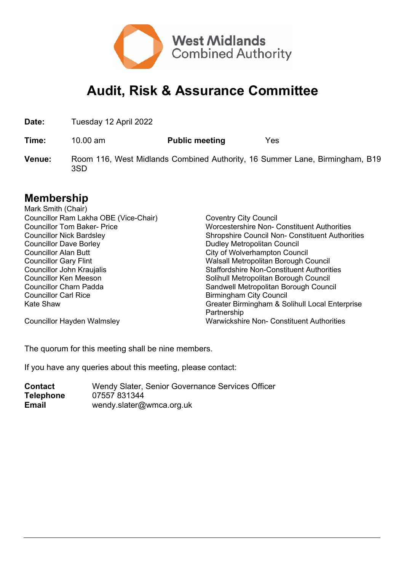

## **Audit, Risk & Assurance Committee**

**Date:** Tuesday 12 April 2022

**Time:** 10.00 am **Public meeting** Yes

**Venue:** Room 116, West Midlands Combined Authority, 16 Summer Lane, Birmingham, B19 3SD

## **Membership**

| Mark Smith (Chair)                    |                                                        |
|---------------------------------------|--------------------------------------------------------|
| Councillor Ram Lakha OBE (Vice-Chair) | <b>Coventry City Council</b>                           |
| <b>Councillor Tom Baker-Price</b>     | <b>Worcestershire Non- Constituent Authorities</b>     |
| <b>Councillor Nick Bardsley</b>       | <b>Shropshire Council Non- Constituent Authorities</b> |
| <b>Councillor Dave Borley</b>         | <b>Dudley Metropolitan Council</b>                     |
| <b>Councillor Alan Butt</b>           | City of Wolverhampton Council                          |
| <b>Councillor Gary Flint</b>          | Walsall Metropolitan Borough Council                   |
| Councillor John Kraujalis             | <b>Staffordshire Non-Constituent Authorities</b>       |
| <b>Councillor Ken Meeson</b>          | Solihull Metropolitan Borough Council                  |
| <b>Councillor Charn Padda</b>         | Sandwell Metropolitan Borough Council                  |
| <b>Councillor Carl Rice</b>           | Birmingham City Council                                |
| Kate Shaw                             | Greater Birmingham & Solihull Local Enterprise         |
|                                       | Partnership                                            |
| <b>Councillor Hayden Walmsley</b>     | <b>Warwickshire Non- Constituent Authorities</b>       |

The quorum for this meeting shall be nine members.

If you have any queries about this meeting, please contact:

| <b>Contact</b>   | Wendy Slater, Senior Governance Services Officer |
|------------------|--------------------------------------------------|
| <b>Telephone</b> | 07557 831344                                     |
| <b>Email</b>     | wendy slater@wmca.org.uk                         |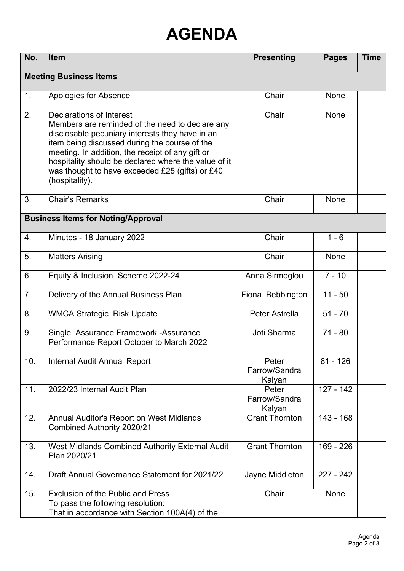## **AGENDA**

| No.                           | <b>Item</b>                                                                                                                                                                                                                                                                                                                                                      | <b>Presenting</b>                | <b>Pages</b> | <b>Time</b> |  |  |
|-------------------------------|------------------------------------------------------------------------------------------------------------------------------------------------------------------------------------------------------------------------------------------------------------------------------------------------------------------------------------------------------------------|----------------------------------|--------------|-------------|--|--|
| <b>Meeting Business Items</b> |                                                                                                                                                                                                                                                                                                                                                                  |                                  |              |             |  |  |
| 1.                            | Apologies for Absence                                                                                                                                                                                                                                                                                                                                            | Chair                            | <b>None</b>  |             |  |  |
| 2.                            | Declarations of Interest<br>Members are reminded of the need to declare any<br>disclosable pecuniary interests they have in an<br>item being discussed during the course of the<br>meeting. In addition, the receipt of any gift or<br>hospitality should be declared where the value of it<br>was thought to have exceeded £25 (gifts) or £40<br>(hospitality). | Chair                            | <b>None</b>  |             |  |  |
| 3.                            | <b>Chair's Remarks</b>                                                                                                                                                                                                                                                                                                                                           | Chair                            | None         |             |  |  |
|                               | <b>Business Items for Noting/Approval</b>                                                                                                                                                                                                                                                                                                                        |                                  |              |             |  |  |
| 4.                            | Minutes - 18 January 2022                                                                                                                                                                                                                                                                                                                                        | Chair                            | $1 - 6$      |             |  |  |
| 5.                            | <b>Matters Arising</b>                                                                                                                                                                                                                                                                                                                                           | Chair                            | <b>None</b>  |             |  |  |
| 6.                            | Equity & Inclusion Scheme 2022-24                                                                                                                                                                                                                                                                                                                                | Anna Sirmoglou                   | $7 - 10$     |             |  |  |
| 7.                            | Delivery of the Annual Business Plan                                                                                                                                                                                                                                                                                                                             | Fiona Bebbington                 | $11 - 50$    |             |  |  |
| 8.                            | <b>WMCA Strategic Risk Update</b>                                                                                                                                                                                                                                                                                                                                | Peter Astrella                   | $51 - 70$    |             |  |  |
| 9.                            | Single Assurance Framework - Assurance<br>Performance Report October to March 2022                                                                                                                                                                                                                                                                               | Joti Sharma                      | $71 - 80$    |             |  |  |
| 10.                           | <b>Internal Audit Annual Report</b>                                                                                                                                                                                                                                                                                                                              | Peter<br>Farrow/Sandra<br>Kalyan | $81 - 126$   |             |  |  |
| 11.                           | 2022/23 Internal Audit Plan                                                                                                                                                                                                                                                                                                                                      | Peter<br>Farrow/Sandra<br>Kalyan | $127 - 142$  |             |  |  |
| 12.                           | Annual Auditor's Report on West Midlands<br>Combined Authority 2020/21                                                                                                                                                                                                                                                                                           | <b>Grant Thornton</b>            | $143 - 168$  |             |  |  |
| 13.                           | West Midlands Combined Authority External Audit<br>Plan 2020/21                                                                                                                                                                                                                                                                                                  | <b>Grant Thornton</b>            | 169 - 226    |             |  |  |
| 14.                           | Draft Annual Governance Statement for 2021/22                                                                                                                                                                                                                                                                                                                    | Jayne Middleton                  | $227 - 242$  |             |  |  |
| 15.                           | <b>Exclusion of the Public and Press</b><br>To pass the following resolution:<br>That in accordance with Section 100A(4) of the                                                                                                                                                                                                                                  | Chair                            | None         |             |  |  |